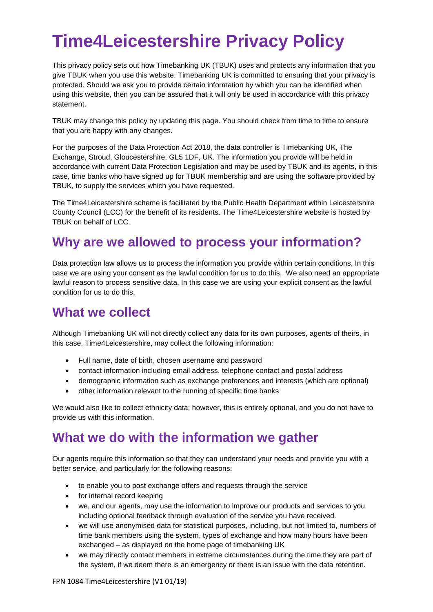# **Time4Leicestershire Privacy Policy**

This privacy policy sets out how Timebanking UK (TBUK) uses and protects any information that you give TBUK when you use this website. Timebanking UK is committed to ensuring that your privacy is protected. Should we ask you to provide certain information by which you can be identified when using this website, then you can be assured that it will only be used in accordance with this privacy statement.

TBUK may change this policy by updating this page. You should check from time to time to ensure that you are happy with any changes.

For the purposes of the Data Protection Act 2018, the data controller is Timebanking UK, The Exchange, Stroud, Gloucestershire, GL5 1DF, UK. The information you provide will be held in accordance with current Data Protection Legislation and may be used by TBUK and its agents, in this case, time banks who have signed up for TBUK membership and are using the software provided by TBUK, to supply the services which you have requested.

The Time4Leicestershire scheme is facilitated by the Public Health Department within Leicestershire County Council (LCC) for the benefit of its residents. The Time4Leicestershire website is hosted by TBUK on behalf of LCC.

### **Why are we allowed to process your information?**

Data protection law allows us to process the information you provide within certain conditions. In this case we are using your consent as the lawful condition for us to do this. We also need an appropriate lawful reason to process sensitive data. In this case we are using your explicit consent as the lawful condition for us to do this.

#### **What we collect**

Although Timebanking UK will not directly collect any data for its own purposes, agents of theirs, in this case, Time4Leicestershire, may collect the following information:

- Full name, date of birth, chosen username and password
- contact information including email address, telephone contact and postal address
- demographic information such as exchange preferences and interests (which are optional)
- other information relevant to the running of specific time banks

We would also like to collect ethnicity data; however, this is entirely optional, and you do not have to provide us with this information.

#### **What we do with the information we gather**

Our agents require this information so that they can understand your needs and provide you with a better service, and particularly for the following reasons:

- to enable you to post exchange offers and requests through the service
- for internal record keeping
- we, and our agents, may use the information to improve our products and services to you including optional feedback through evaluation of the service you have received.
- we will use anonymised data for statistical purposes, including, but not limited to, numbers of time bank members using the system, types of exchange and how many hours have been exchanged – as displayed on the home page of timebanking UK
- we may directly contact members in extreme circumstances during the time they are part of the system, if we deem there is an emergency or there is an issue with the data retention.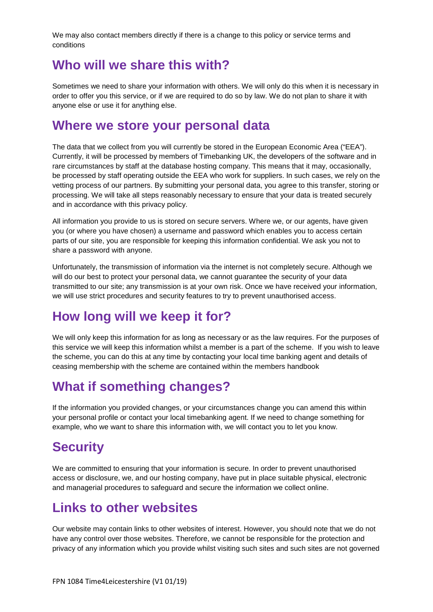We may also contact members directly if there is a change to this policy or service terms and conditions

#### **Who will we share this with?**

Sometimes we need to share your information with others. We will only do this when it is necessary in order to offer you this service, or if we are required to do so by law. We do not plan to share it with anyone else or use it for anything else.

#### **Where we store your personal data**

The data that we collect from you will currently be stored in the European Economic Area ("EEA"). Currently, it will be processed by members of Timebanking UK, the developers of the software and in rare circumstances by staff at the database hosting company. This means that it may, occasionally, be processed by staff operating outside the EEA who work for suppliers. In such cases, we rely on the vetting process of our partners. By submitting your personal data, you agree to this transfer, storing or processing. We will take all steps reasonably necessary to ensure that your data is treated securely and in accordance with this privacy policy.

All information you provide to us is stored on secure servers. Where we, or our agents, have given you (or where you have chosen) a username and password which enables you to access certain parts of our site, you are responsible for keeping this information confidential. We ask you not to share a password with anyone.

Unfortunately, the transmission of information via the internet is not completely secure. Although we will do our best to protect your personal data, we cannot guarantee the security of your data transmitted to our site; any transmission is at your own risk. Once we have received your information, we will use strict procedures and security features to try to prevent unauthorised access.

#### **How long will we keep it for?**

We will only keep this information for as long as necessary or as the law requires. For the purposes of this service we will keep this information whilst a member is a part of the scheme. If you wish to leave the scheme, you can do this at any time by contacting your local time banking agent and details of ceasing membership with the scheme are contained within the members handbook

#### **What if something changes?**

If the information you provided changes, or your circumstances change you can amend this within your personal profile or contact your local timebanking agent. If we need to change something for example, who we want to share this information with, we will contact you to let you know.

# **Security**

We are committed to ensuring that your information is secure. In order to prevent unauthorised access or disclosure, we, and our hosting company, have put in place suitable physical, electronic and managerial procedures to safeguard and secure the information we collect online.

#### **Links to other websites**

Our website may contain links to other websites of interest. However, you should note that we do not have any control over those websites. Therefore, we cannot be responsible for the protection and privacy of any information which you provide whilst visiting such sites and such sites are not governed